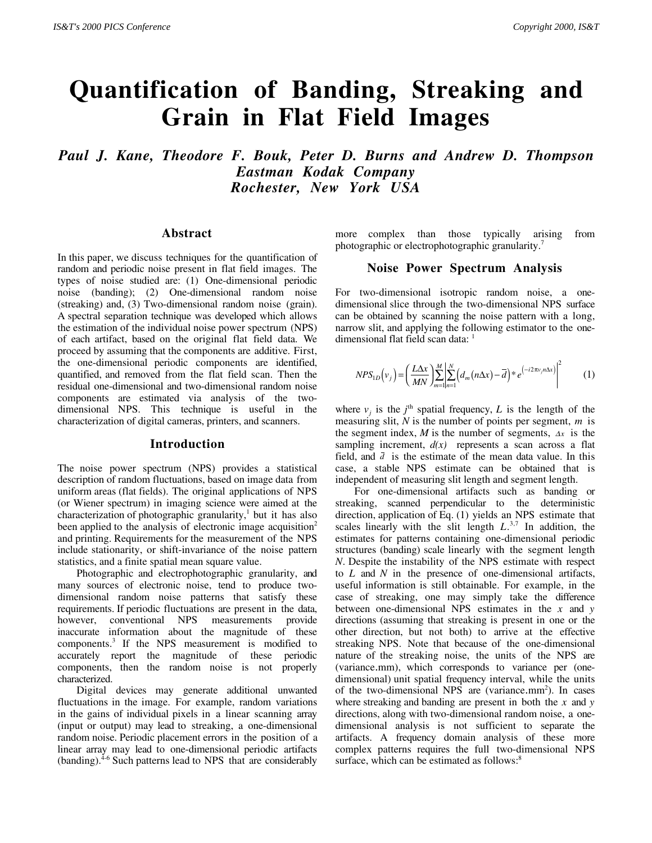# **Quantification of Banding, Streaking and Grain in Flat Field Images**

*Paul J. Kane, Theodore F. Bouk, Peter D. Burns and Andrew D. Thompson Eastman Kodak Company Rochester, New York USA*

#### **Abstract**

In this paper, we discuss techniques for the quantification of random and periodic noise present in flat field images. The types of noise studied are: (1) One-dimensional periodic noise (banding); (2) One-dimensional random noise (streaking) and, (3) Two-dimensional random noise (grain). A spectral separation technique was developed which allows the estimation of the individual noise power spectrum (NPS) of each artifact, based on the original flat field data. We proceed by assuming that the components are additive. First, the one-dimensional periodic components are identified, quantified, and removed from the flat field scan. Then the residual one-dimensional and two-dimensional random noise components are estimated via analysis of the twodimensional NPS. This technique is useful in the characterization of digital cameras, printers, and scanners.

#### **Introduction**

The noise power spectrum (NPS) provides a statistical description of random fluctuations, based on image data from uniform areas (flat fields). The original applications of NPS (or Wiener spectrum) in imaging science were aimed at the characterization of photographic granularity,<sup>1</sup> but it has also been applied to the analysis of electronic image acquisition<sup>2</sup> and printing. Requirements for the measurement of the NPS include stationarity, or shift-invariance of the noise pattern statistics, and a finite spatial mean square value.

Photographic and electrophotographic granularity, and many sources of electronic noise, tend to produce twodimensional random noise patterns that satisfy these requirements. If periodic fluctuations are present in the data, however, conventional NPS measurements provide inaccurate information about the magnitude of these components.3 If the NPS measurement is modified to accurately report the magnitude of these periodic components, then the random noise is not properly characterized.

Digital devices may generate additional unwanted fluctuations in the image. For example, random variations in the gains of individual pixels in a linear scanning array (input or output) may lead to streaking, a one-dimensional random noise. Periodic placement errors in the position of a linear array may lead to one-dimensional periodic artifacts  $(banding).<sup>4-6</sup> Such patterns lead to NPS that are considerably$ 

more complex than those typically arising from photographic or electrophotographic granularity.7

### **Noise Power Spectrum Analysis**

For two-dimensional isotropic random noise, a onedimensional slice through the two-dimensional NPS surface can be obtained by scanning the noise pattern with a long, narrow slit, and applying the following estimator to the onedimensional flat field scan data: 1

$$
NPS_{1D}\left(v_j\right) = \left(\frac{L\Delta x}{MN}\right) \sum_{m=1}^{M} \left| \sum_{n=1}^{N} \left(d_m(n\Delta x) - \overline{d}\right)^* e^{\left(-i2\pi v_j n\Delta x\right)} \right|^2 \tag{1}
$$

where  $v_j$  is the  $j^{\text{th}}$  spatial frequency, *L* is the length of the measuring slit, *N* is the number of points per segment, *m* is the segment index, *M* is the number of segments,  $\Delta x$  is the sampling increment,  $d(x)$  represents a scan across a flat field, and  $\bar{d}$  is the estimate of the mean data value. In this case, a stable NPS estimate can be obtained that is independent of measuring slit length and segment length.

For one-dimensional artifacts such as banding or streaking, scanned perpendicular to the deterministic direction, application of Eq. (1) yields an NPS estimate that scales linearly with the slit length  $L^{3,7}$  In addition, the estimates for patterns containing one-dimensional periodic structures (banding) scale linearly with the segment length *N*. Despite the instability of the NPS estimate with respect to *L* and *N* in the presence of one-dimensional artifacts, useful information is still obtainable. For example, in the case of streaking, one may simply take the difference between one-dimensional NPS estimates in the *x* and *y* directions (assuming that streaking is present in one or the other direction, but not both) to arrive at the effective streaking NPS. Note that because of the one-dimensional nature of the streaking noise, the units of the NPS are (variance.mm), which corresponds to variance per (onedimensional) unit spatial frequency interval, while the units of the two-dimensional NPS are (variance.mm<sup>2</sup>). In cases where streaking and banding are present in both the *x* and *y* directions, along with two-dimensional random noise, a onedimensional analysis is not sufficient to separate the artifacts. A frequency domain analysis of these more complex patterns requires the full two-dimensional NPS surface, which can be estimated as follows:<sup>8</sup>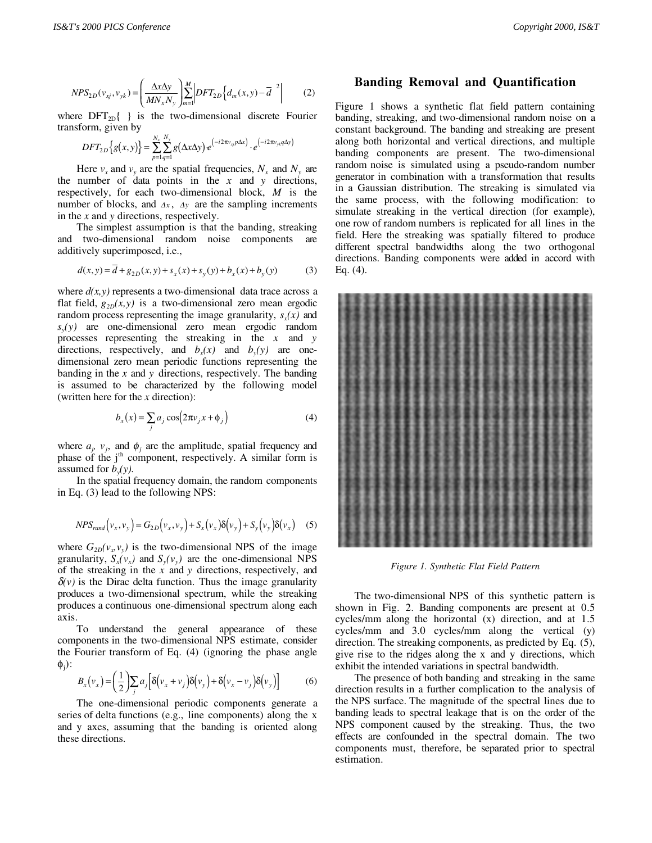$$
NPS_{2D}(v_{xj}, v_{yk}) = \left(\frac{\Delta x \Delta y}{MN_x N_y}\right) \sum_{m=1}^{M} \left| DFT_{2D} \left\{ d_m(x, y) - \overline{d} \right\}^2 \right| \tag{2}
$$

where  $DFT_{2D}$ { } is the two-dimensional discrete Fourier transform, given by

$$
DFT_{2D}\Big\{g(x,y)\Big\} = \sum_{p=1}^{N_x} \sum_{q=1}^{N_y} g(\Delta x \Delta y) e^{(-i2\pi v_{xy} p\Delta x)} \cdot e^{(-i2\pi v_{yx} q\Delta y)}
$$

Here  $v_x$  and  $v_y$  are the spatial frequencies,  $N_x$  and  $N_y$  are the number of data points in the *x* and *y* directions, respectively, for each two-dimensional block, *M* is the number of blocks, and ∆*x* , ∆*y* are the sampling increments in the *x* and *y* directions, respectively.

The simplest assumption is that the banding, streaking and two-dimensional random noise components are additively superimposed, i.e.,

$$
d(x, y) = d + g_{2D}(x, y) + s_x(x) + s_y(y) + b_x(x) + b_y(y)
$$
(3)

where  $d(x, y)$  represents a two-dimensional data trace across a flat field,  $g_{2D}(x, y)$  is a two-dimensional zero mean ergodic random process representing the image granularity,  $s<sub>x</sub>(x)$  and *sy(y)* are one-dimensional zero mean ergodic random processes representing the streaking in the *x* and *y* directions, respectively, and  $b_x(x)$  and  $b_y(y)$  are onedimensional zero mean periodic functions representing the banding in the *x* and *y* directions, respectively. The banding is assumed to be characterized by the following model (written here for the *x* direction):

$$
b_x(x) = \sum_j a_j \cos(2\pi v_j x + \phi_j)
$$
 (4)

where  $a_j$ ,  $v_j$ , and  $\phi_j$  are the amplitude, spatial frequency and phase of the j<sup>th</sup> component, respectively. A similar form is assumed for  $b_y(y)$ .

In the spatial frequency domain, the random components in Eq. (3) lead to the following NPS:

$$
NPS_{rand}(v_x, v_y) = G_{2D}(v_x, v_y) + S_x(v_x)\delta(v_y) + S_y(v_y)\delta(v_x)
$$
 (5)

where  $G_{2D}(v_v,v_v)$  is the two-dimensional NPS of the image granularity,  $S_x(v_x)$  and  $S_y(v_y)$  are the one-dimensional NPS of the streaking in the *x* and *y* directions, respectively, and  $\delta(v)$  is the Dirac delta function. Thus the image granularity produces a two-dimensional spectrum, while the streaking produces a continuous one-dimensional spectrum along each axis.

To understand the general appearance of these components in the two-dimensional NPS estimate, consider the Fourier transform of Eq. (4) (ignoring the phase angle  $φ<sub>j</sub>$ ):

$$
B_x(\nu_x) = \left(\frac{1}{2}\right) \sum_j a_j \left[\delta(\nu_x + \nu_j)\delta(\nu_y) + \delta(\nu_x - \nu_j)\delta(\nu_y)\right]
$$
(6)

The one-dimensional periodic components generate a series of delta functions (e.g., line components) along the x and y axes, assuming that the banding is oriented along these directions.

### **Banding Removal and Quantification**

Figure 1 shows a synthetic flat field pattern containing banding, streaking, and two-dimensional random noise on a constant background. The banding and streaking are present along both horizontal and vertical directions, and multiple banding components are present. The two-dimensional random noise is simulated using a pseudo-random number generator in combination with a transformation that results in a Gaussian distribution. The streaking is simulated via the same process, with the following modification: to simulate streaking in the vertical direction (for example), one row of random numbers is replicated for all lines in the field. Here the streaking was spatially filtered to produce different spectral bandwidths along the two orthogonal directions. Banding components were added in accord with Eq. (4).



*Figure 1. Synthetic Flat Field Pattern*

The two-dimensional NPS of this synthetic pattern is shown in Fig. 2. Banding components are present at 0.5 cycles/mm along the horizontal (x) direction, and at 1.5 cycles/mm and 3.0 cycles/mm along the vertical (y) direction. The streaking components, as predicted by Eq. (5), give rise to the ridges along the x and y directions, which exhibit the intended variations in spectral bandwidth.

The presence of both banding and streaking in the same direction results in a further complication to the analysis of the NPS surface. The magnitude of the spectral lines due to banding leads to spectral leakage that is on the order of the NPS component caused by the streaking. Thus, the two effects are confounded in the spectral domain. The two components must, therefore, be separated prior to spectral estimation.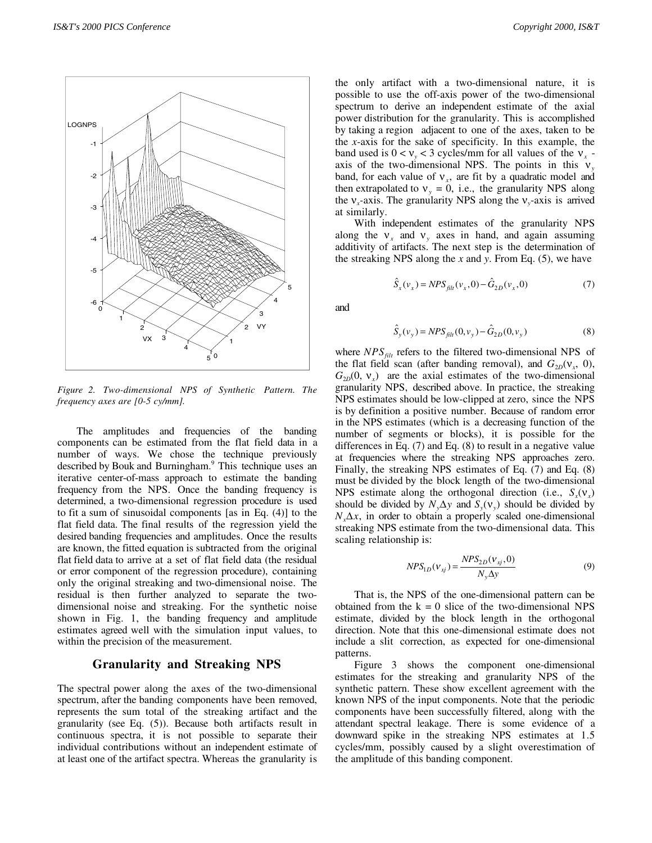

*Figure 2. Two-dimensional NPS of Synthetic Pattern. The frequency axes are [0-5 cy/mm].*

The amplitudes and frequencies of the banding components can be estimated from the flat field data in a number of ways. We chose the technique previously described by Bouk and Burningham.<sup>9</sup> This technique uses an iterative center-of-mass approach to estimate the banding frequency from the NPS. Once the banding frequency is determined, a two-dimensional regression procedure is used to fit a sum of sinusoidal components [as in Eq. (4)] to the flat field data. The final results of the regression yield the desired banding frequencies and amplitudes. Once the results are known, the fitted equation is subtracted from the original flat field data to arrive at a set of flat field data (the residual or error component of the regression procedure), containing only the original streaking and two-dimensional noise. The residual is then further analyzed to separate the twodimensional noise and streaking. For the synthetic noise shown in Fig. 1, the banding frequency and amplitude estimates agreed well with the simulation input values, to within the precision of the measurement.

## **Granularity and Streaking NPS**

The spectral power along the axes of the two-dimensional spectrum, after the banding components have been removed, represents the sum total of the streaking artifact and the granularity (see Eq. (5)). Because both artifacts result in continuous spectra, it is not possible to separate their individual contributions without an independent estimate of at least one of the artifact spectra. Whereas the granularity is

the only artifact with a two-dimensional nature, it is possible to use the off-axis power of the two-dimensional spectrum to derive an independent estimate of the axial power distribution for the granularity. This is accomplished by taking a region adjacent to one of the axes, taken to be the *x*-axis for the sake of specificity. In this example, the band used is  $0 < v_y < 3$  cycles/mm for all values of the  $v_x$  axis of the two-dimensional NPS. The points in this ν*<sup>y</sup>* band, for each value of  $v<sub>x</sub>$ , are fit by a quadratic model and then extrapolated to  $v_y = 0$ , i.e., the granularity NPS along the  $v_x$ -axis. The granularity NPS along the  $v_y$ -axis is arrived at similarly.

With independent estimates of the granularity NPS along the  $v_x$  and  $v_y$  axes in hand, and again assuming additivity of artifacts. The next step is the determination of the streaking NPS along the *x* and *y*. From Eq. (5), we have

$$
\hat{S}_x(v_x) = NPS_{filt}(v_x, 0) - \hat{G}_{2D}(v_x, 0)
$$
\n(7)

and

$$
\hat{S}_y(v_y) = NPS_{\text{filt}}(0, v_y) - \hat{G}_{2D}(0, v_y)
$$
\n(8)

where  $NPS<sub>filt</sub>$  refers to the filtered two-dimensional NPS of the flat field scan (after banding removal), and  $G_{2D}(v_r, 0)$ ,  $G_{2D}(0, v_0)$  are the axial estimates of the two-dimensional granularity NPS, described above. In practice, the streaking NPS estimates should be low-clipped at zero, since the NPS is by definition a positive number. Because of random error in the NPS estimates (which is a decreasing function of the number of segments or blocks), it is possible for the differences in Eq. (7) and Eq. (8) to result in a negative value at frequencies where the streaking NPS approaches zero. Finally, the streaking NPS estimates of Eq. (7) and Eq. (8) must be divided by the block length of the two-dimensional NPS estimate along the orthogonal direction (i.e.,  $S_r(V_r)$ ) should be divided by  $N_y \Delta y$  and  $S_y(V_y)$  should be divided by  $N<sub>x</sub>\Delta x$ , in order to obtain a properly scaled one-dimensional streaking NPS estimate from the two-dimensional data. This scaling relationship is:

$$
NPS_{1D}(v_{xj}) = \frac{NPS_{2D}(v_{xj}, 0)}{N_{y}\Delta y}
$$
(9)

That is, the NPS of the one-dimensional pattern can be obtained from the  $k = 0$  slice of the two-dimensional NPS estimate, divided by the block length in the orthogonal direction. Note that this one-dimensional estimate does not include a slit correction, as expected for one-dimensional patterns.

Figure 3 shows the component one-dimensional estimates for the streaking and granularity NPS of the synthetic pattern. These show excellent agreement with the known NPS of the input components. Note that the periodic components have been successfully filtered, along with the attendant spectral leakage. There is some evidence of a downward spike in the streaking NPS estimates at 1.5 cycles/mm, possibly caused by a slight overestimation of the amplitude of this banding component.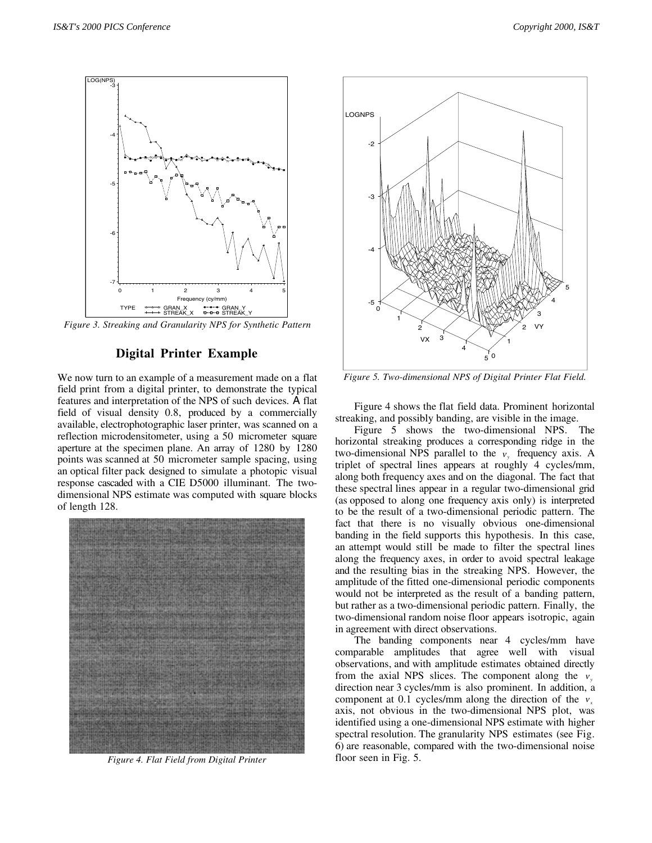

*Figure 3. Streaking and Granularity NPS for Synthetic Pattern*

#### **Digital Printer Example**

We now turn to an example of a measurement made on a flat field print from a digital printer, to demonstrate the typical features and interpretation of the NPS of such devices. A flat field of visual density 0.8, produced by a commercially available, electrophotographic laser printer, was scanned on a reflection microdensitometer, using a 50 micrometer square aperture at the specimen plane. An array of 1280 by 1280 points was scanned at 50 micrometer sample spacing, using an optical filter pack designed to simulate a photopic visual response cascaded with a CIE D5000 illuminant. The twodimensional NPS estimate was computed with square blocks of length 128.



*Figure 4. Flat Field from Digital Printer*



*Figure 5. Two-dimensional NPS of Digital Printer Flat Field.*

Figure 4 shows the flat field data. Prominent horizontal streaking, and possibly banding, are visible in the image.

Figure 5 shows the two-dimensional NPS. The horizontal streaking produces a corresponding ridge in the two-dimensional NPS parallel to the  $v_y$  frequency axis. A triplet of spectral lines appears at roughly 4 cycles/mm, along both frequency axes and on the diagonal. The fact that these spectral lines appear in a regular two-dimensional grid (as opposed to along one frequency axis only) is interpreted to be the result of a two-dimensional periodic pattern. The fact that there is no visually obvious one-dimensional banding in the field supports this hypothesis. In this case, an attempt would still be made to filter the spectral lines along the frequency axes, in order to avoid spectral leakage and the resulting bias in the streaking NPS. However, the amplitude of the fitted one-dimensional periodic components would not be interpreted as the result of a banding pattern, but rather as a two-dimensional periodic pattern. Finally, the two-dimensional random noise floor appears isotropic, again in agreement with direct observations.

The banding components near 4 cycles/mm have comparable amplitudes that agree well with visual observations, and with amplitude estimates obtained directly from the axial NPS slices. The component along the  $v_y$ direction near 3 cycles/mm is also prominent. In addition, a component at 0.1 cycles/mm along the direction of the *v*<sub>*x*</sub> axis, not obvious in the two-dimensional NPS plot, was identified using a one-dimensional NPS estimate with higher spectral resolution. The granularity NPS estimates (see Fig. 6) are reasonable, compared with the two-dimensional noise floor seen in Fig. 5.